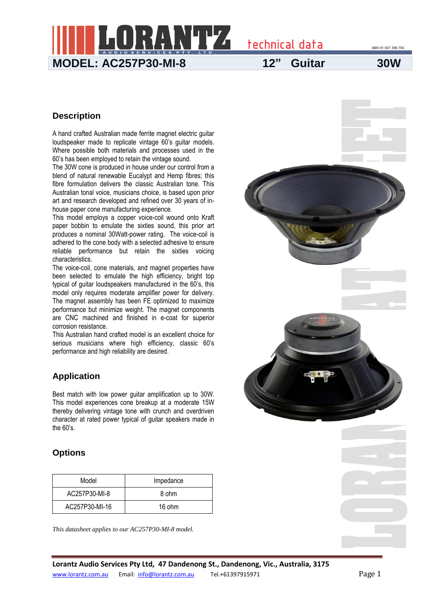technical data ABN 91 007 396 705 **MODEL: AC257P30-MI-8 12" Guitar 30W**

### **Description**

A hand crafted Australian made ferrite magnet electric guitar loudspeaker made to replicate vintage 60's guitar models. Where possible both materials and processes used in the 60's has been employed to retain the vintage sound.

The 30W cone is produced in house under our control from a blend of natural renewable Eucalypt and Hemp fibres; this fibre formulation delivers the classic Australian tone. This Australian tonal voice, musicians choice, is based upon prior art and research developed and refined over 30 years of inhouse paper cone manufacturing experience.

This model employs a copper voice-coil wound onto Kraft paper bobbin to emulate the sixties sound, this prior art produces a nominal 30Watt-power rating. The voice-coil is adhered to the cone body with a selected adhesive to ensure reliable performance but retain the sixties voicing characteristics.

The voice-coil, cone materials, and magnet properties have been selected to emulate the high efficiency, bright top typical of guitar loudspeakers manufactured in the 60's, this model only requires moderate amplifier power for delivery. The magnet assembly has been FE optimized to maximize performance but minimize weight. The magnet components are CNC machined and finished in e-coat for superior corrosion resistance.

This Australian hand crafted model is an excellent choice for serious musicians where high efficiency, classic 60's performance and high reliability are desired.

### **Application**

Best match with low power guitar amplification up to 30W. This model experiences cone breakup at a moderate 15W thereby delivering vintage tone with crunch and overdriven character at rated power typical of guitar speakers made in the 60's.

### **Options**

| Model          | Impedance |  |  |
|----------------|-----------|--|--|
| AC257P30-MI-8  | 8 ohm     |  |  |
| AC257P30-MI-16 | 16 ohm    |  |  |

*This datasheet applies to our AC257P30-MI-8 model.*